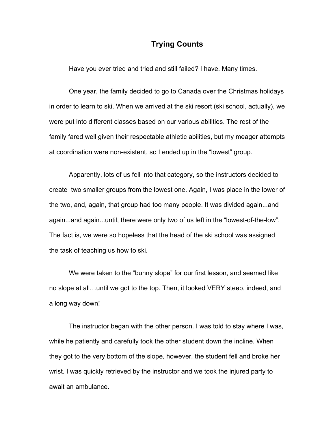## **Trying Counts**

Have you ever tried and tried and still failed? I have. Many times.

One year, the family decided to go to Canada over the Christmas holidays in order to learn to ski. When we arrived at the ski resort (ski school, actually), we were put into different classes based on our various abilities. The rest of the family fared well given their respectable athletic abilities, but my meager attempts at coordination were non-existent, so I ended up in the "lowest" group.

Apparently, lots of us fell into that category, so the instructors decided to create two smaller groups from the lowest one. Again, I was place in the lower of the two, and, again, that group had too many people. It was divided again...and again...and again...until, there were only two of us left in the "lowest-of-the-low". The fact is, we were so hopeless that the head of the ski school was assigned the task of teaching us how to ski.

We were taken to the "bunny slope" for our first lesson, and seemed like no slope at all…until we got to the top. Then, it looked VERY steep, indeed, and a long way down!

The instructor began with the other person. I was told to stay where I was, while he patiently and carefully took the other student down the incline. When they got to the very bottom of the slope, however, the student fell and broke her wrist. I was quickly retrieved by the instructor and we took the injured party to await an ambulance.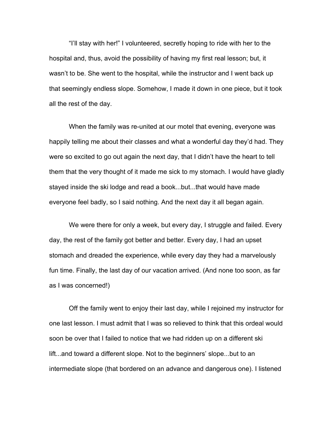"I'll stay with her!" I volunteered, secretly hoping to ride with her to the hospital and, thus, avoid the possibility of having my first real lesson; but, it wasn't to be. She went to the hospital, while the instructor and I went back up that seemingly endless slope. Somehow, I made it down in one piece, but it took all the rest of the day.

When the family was re-united at our motel that evening, everyone was happily telling me about their classes and what a wonderful day they'd had. They were so excited to go out again the next day, that I didn't have the heart to tell them that the very thought of it made me sick to my stomach. I would have gladly stayed inside the ski lodge and read a book...but...that would have made everyone feel badly, so I said nothing. And the next day it all began again.

We were there for only a week, but every day, I struggle and failed. Every day, the rest of the family got better and better. Every day, I had an upset stomach and dreaded the experience, while every day they had a marvelously fun time. Finally, the last day of our vacation arrived. (And none too soon, as far as I was concerned!)

Off the family went to enjoy their last day, while I rejoined my instructor for one last lesson. I must admit that I was so relieved to think that this ordeal would soon be over that I failed to notice that we had ridden up on a different ski lift...and toward a different slope. Not to the beginners' slope...but to an intermediate slope (that bordered on an advance and dangerous one). I listened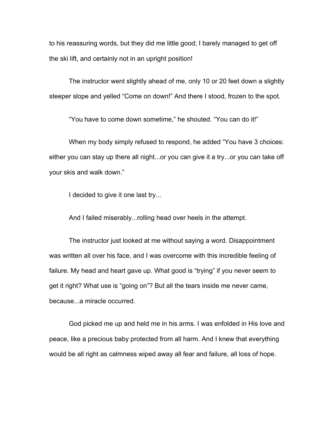to his reassuring words, but they did me little good; I barely managed to get off the ski lift, and certainly not in an upright position!

The instructor went slightly ahead of me, only 10 or 20 feet down a slightly steeper slope and yelled "Come on down!" And there I stood, frozen to the spot.

"You have to come down sometime," he shouted. "You can do it!"

When my body simply refused to respond, he added "You have 3 choices: either you can stay up there all night...or you can give it a try...or you can take off your skis and walk down."

I decided to give it one last try...

And I failed miserably...rolling head over heels in the attempt.

The instructor just looked at me without saying a word. Disappointment was written all over his face, and I was overcome with this incredible feeling of failure. My head and heart gave up. What good is "trying" if you never seem to get it right? What use is "going on"? But all the tears inside me never came, because...a miracle occurred.

God picked me up and held me in his arms. I was enfolded in His love and peace, like a precious baby protected from all harm. And I knew that everything would be all right as calmness wiped away all fear and failure, all loss of hope.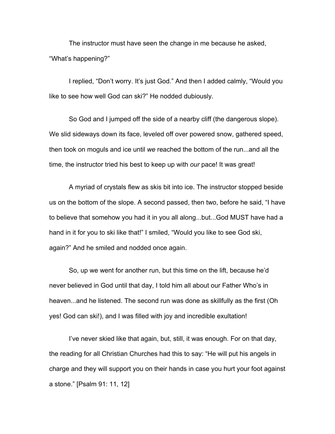The instructor must have seen the change in me because he asked, "What's happening?"

I replied, "Don't worry. It's just God." And then I added calmly, "Would you like to see how well God can ski?" He nodded dubiously.

So God and I jumped off the side of a nearby cliff (the dangerous slope). We slid sideways down its face, leveled off over powered snow, gathered speed, then took on moguls and ice until *we* reached the bottom of the run...and all the time, the instructor tried his best to keep up with *our* pace! It was great!

A myriad of crystals flew as skis bit into ice. The instructor stopped beside us on the bottom of the slope. A second passed, then two, before he said, "I have to believe that somehow you had it in you all along...but...God MUST have had a hand in it for you to ski like that!" I smiled, "Would you like to see God ski, again?" And he smiled and nodded once again.

So, up we went for another run, but this time on the lift, because he'd never believed in God until that day, I told him all about our Father Who's in heaven...and he listened. The second run was done as skillfully as the first (Oh yes! God can ski!), and I was filled with joy and incredible exultation!

I've never skied like that again, but, still, it was enough. For on that day, the reading for all Christian Churches had this to say: "He will put his angels in charge and they will support you on their hands in case you hurt your foot against a stone." [Psalm 91: 11, 12]